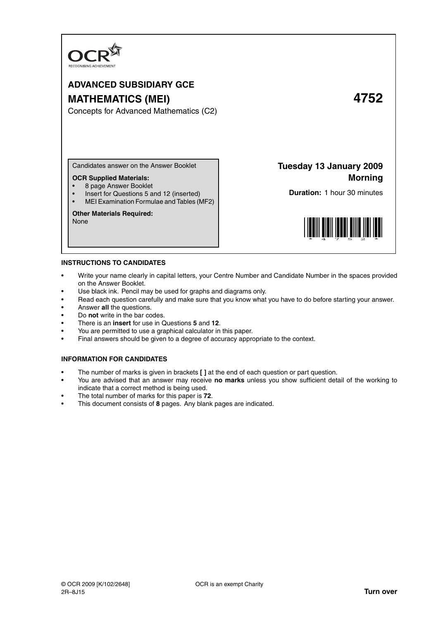

# **ADVANCED SUBSIDIARY GCE MATHEMATICS (MEI) 4752**

Concepts for Advanced Mathematics (C2)

Candidates answer on the Answer Booklet

#### **OCR Supplied Materials:**

- 8 page Answer Booklet
- Insert for Questions 5 and 12 (inserted)
- MEI Examination Formulae and Tables (MF2)

### **Other Materials Required:**

None

# **Tuesday 13 January 2009 Morning**

**Duration:** 1 hour 30 minutes



#### **INSTRUCTIONS TO CANDIDATES**

- Write your name clearly in capital letters, your Centre Number and Candidate Number in the spaces provided on the Answer Booklet.
- Use black ink. Pencil may be used for graphs and diagrams only.
- Read each question carefully and make sure that you know what you have to do before starting your answer.
- Answer **all** the questions.
- Do **not** write in the bar codes.
- There is an **insert** for use in Questions **5** and **12**.
- You are permitted to use a graphical calculator in this paper.
- Final answers should be given to a degree of accuracy appropriate to the context.

### **INFORMATION FOR CANDIDATES**

- The number of marks is given in brackets **[ ]** at the end of each question or part question.
- You are advised that an answer may receive **no marks** unless you show sufficient detail of the working to indicate that a correct method is being used.
- The total number of marks for this paper is **72**.
- This document consists of **8** pages. Any blank pages are indicated.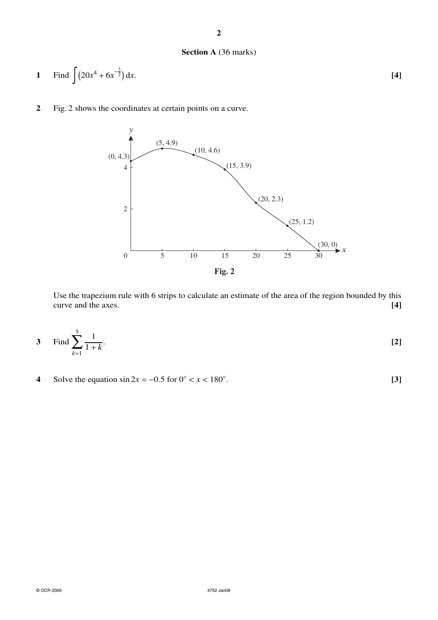## **Section A** (36 marks)

1 Find 
$$
\int (20x^4 + 6x^{-\frac{3}{2}}) dx
$$
. [4]

**2** Fig. 2 shows the coordinates at certain points on a curve.



Use the trapezium rule with 6 strips to calculate an estimate of the area of the region bounded by this curve and the axes. **[4]**

3 Find 
$$
\sum_{k=1}^{5} \frac{1}{1+k}
$$
. [2]

4 Solve the equation  $\sin 2x = -0.5$  for  $0° < x < 180°$ . . **[3]**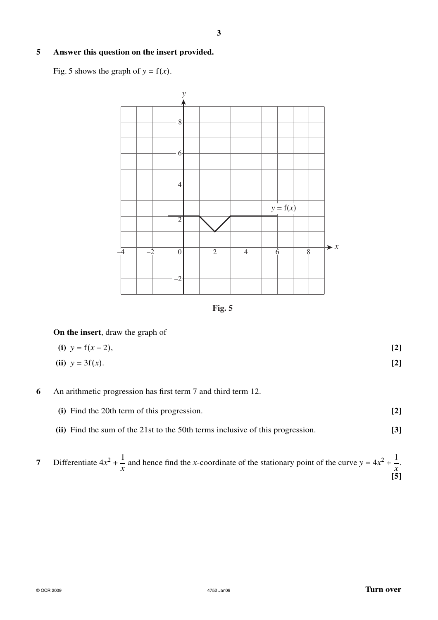# **5 Answer this question on the insert provided.**

Fig. 5 shows the graph of  $y = f(x)$ .





**On the insert**, draw the graph of

(i) 
$$
y = f(x-2)
$$
, [2]

(ii) 
$$
y = 3f(x)
$$
. [2]

**6** An arithmetic progression has first term 7 and third term 12.

- **(i)** Find the 20th term of this progression. **[2]**
- **(ii)** Find the sum of the 21st to the 50th terms inclusive of this progression. **[3]**
- **7** Differentiate  $4x^2 + \frac{1}{x}$  $\frac{1}{x}$  and hence find the *x*-coordinate of the stationary point of the curve  $y = 4x^2 + \frac{1}{x}$  $\frac{1}{x}$ . **[5]**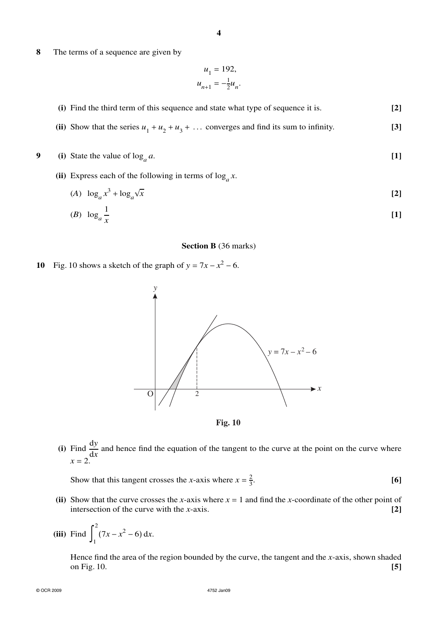**8** The terms of a sequence are given by

$$
u_1 = 192,
$$
  

$$
u_{n+1} = -\frac{1}{2}u_n.
$$

- **(i)** Find the third term of this sequence and state what type of sequence it is. **[2]**
- (ii) Show that the series  $u_1 + u_2 + u_3 + \dots$  converges and find its sum to infinity. [3]
- **9 (i)** State the value of log *a a*. **[1]**
	- (ii) Express each of the following in terms of  $\log_a x$ .
		- (*A*)  $\log_a x^3 + \log_a$ √  $\overline{x}$  [2]

$$
(B) \quad \log_a \frac{1}{x} \tag{1}
$$

### **Section B** (36 marks)

**10** Fig. 10 shows a sketch of the graph of  $y = 7x - x^2 - 6$ .





(i) Find  $\frac{dy}{dx}$  and hence find the equation of the tangent to the curve at the point on the curve where  $x = 2$ .

Show that this tangent crosses the *x*-axis where  $x = \frac{2}{3}$ 3 . **[6]**

(ii) Show that the curve crosses the *x*-axis where  $x = 1$  and find the *x*-coordinate of the other point of intersection of the curve with the *x*-axis. **[2]**

(iii) Find 
$$
\int_1^2 (7x - x^2 - 6) dx
$$
.

Hence find the area of the region bounded by the curve, the tangent and the *x*-axis, shown shaded on Fig. 10. **[5]**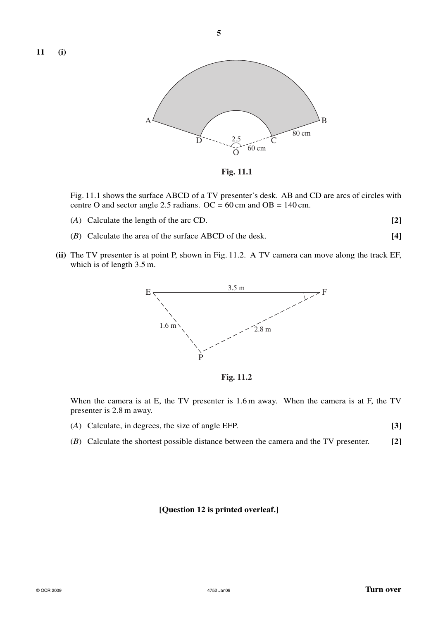



**Fig. 11.1**

Fig. 11.1 shows the surface ABCD of a TV presenter's desk. AB and CD are arcs of circles with centre O and sector angle 2.5 radians.  $OC = 60$  cm and  $OB = 140$  cm.

- (*A*) Calculate the length of the arc CD. **[2]**
- (*B*) Calculate the area of the surface ABCD of the desk. **[4]**
- **(ii)** The TV presenter is at point P, shown in Fig. 11.2. A TV camera can move along the track EF, which is of length 3.5 m.



**Fig. 11.2**

When the camera is at E, the TV presenter is 1.6 m away. When the camera is at F, the TV presenter is 2.8 m away.

- (*A*) Calculate, in degrees, the size of angle EFP. **[3]**
- (*B*) Calculate the shortest possible distance between the camera and the TV presenter. **[2]**

## **[Question 12 is printed overleaf.]**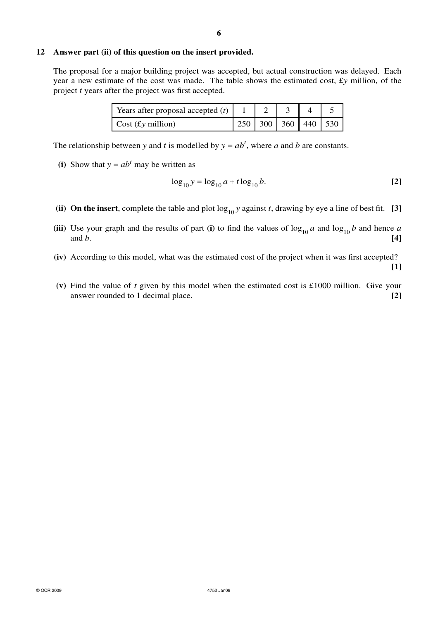## **12 Answer part (ii) of this question on the insert provided.**

The proposal for a major building project was accepted, but actual construction was delayed. Each year a new estimate of the cost was made. The table shows the estimated cost, £*y* million, of the project *t* years after the project was first accepted.

| Years after proposal accepted $(t)$ |  |                             |  |
|-------------------------------------|--|-----------------------------|--|
| $\cos(\pounds y)$ million           |  | 250   300   360   440   530 |  |

The relationship between *y* and *t* is modelled by  $y = ab^t$ , where *a* and *b* are constants.

**(i)** Show that  $y = ab^t$  may be written as

$$
\log_{10} y = \log_{10} a + t \log_{10} b.
$$
 [2]

- (ii) On the insert, complete the table and plot  $\log_{10} y$  against *t*, drawing by eye a line of best fit. [3]
- **(iii)** Use your graph and the results of part **(i)** to find the values of  $\log_{10} a$  and  $\log_{10} b$  and hence *a* and *b*. and *b*.  $[4]$
- **(iv)** According to this model, what was the estimated cost of the project when it was first accepted? **[1]**
- **(v)** Find the value of *t* given by this model when the estimated cost is £1000 million. Give your answer rounded to 1 decimal place. **[2]**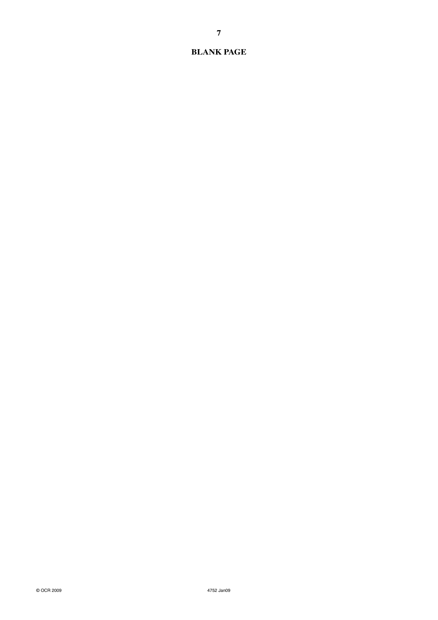# **BLANK PAGE**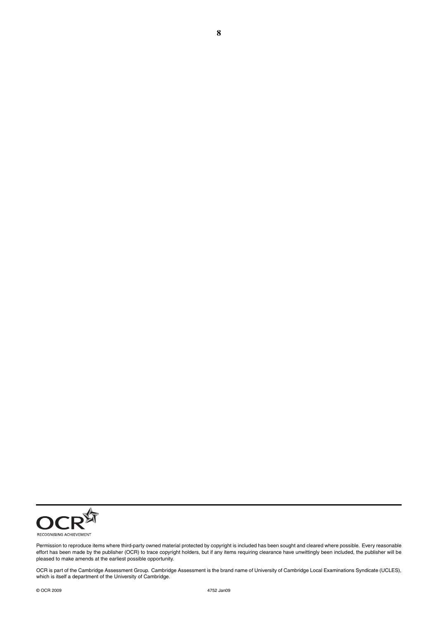

Permission to reproduce items where third-party owned material protected by copyright is included has been sought and cleared where possible. Every reasonable effort has been made by the publisher (OCR) to trace copyright holders, but if any items requiring clearance have unwittingly been included, the publisher will be pleased to make amends at the earliest possible opportunity.

**8**

OCR is part of the Cambridge Assessment Group. Cambridge Assessment is the brand name of University of Cambridge Local Examinations Syndicate (UCLES), which is itself a department of the University of Cambridge.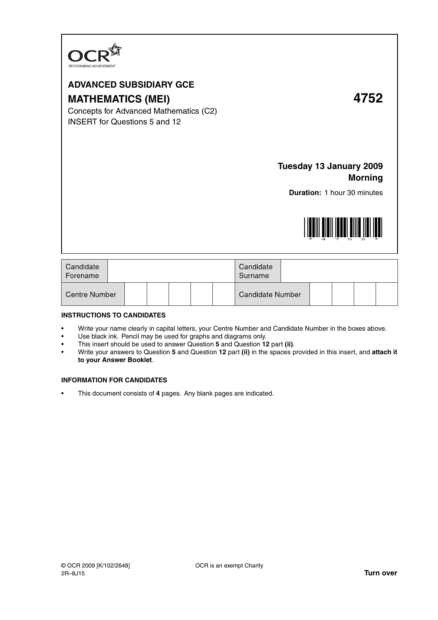

# **ADVANCED SUBSIDIARY GCE MATHEMATICS (MEI) 4752**

Concepts for Advanced Mathematics (C2) INSERT for Questions 5 and 12

# **Tuesday 13 January 2009 Morning**

**Duration:** 1 hour 30 minutes



| Candidate<br>Forename |  |  |  |  |  | Candidate<br>Surname    |  |  |  |  |  |
|-----------------------|--|--|--|--|--|-------------------------|--|--|--|--|--|
| Centre Number         |  |  |  |  |  | <b>Candidate Number</b> |  |  |  |  |  |

### **INSTRUCTIONS TO CANDIDATES**

- Write your name clearly in capital letters, your Centre Number and Candidate Number in the boxes above.
- Use black ink. Pencil may be used for graphs and diagrams only.
- This insert should be used to answer Question **5** and Question **12** part **(ii)**.
- Write your answers to Question **5** and Question **12** part **(ii)** in the spaces provided in this insert, and **attach it to your Answer Booklet**.

### **INFORMATION FOR CANDIDATES**

• This document consists of **4** pages. Any blank pages are indicated.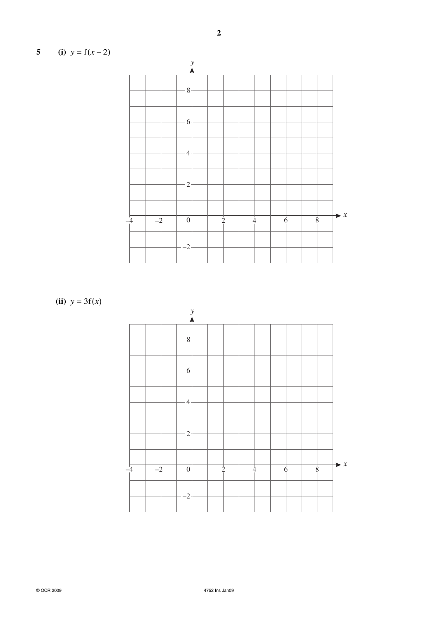# **5** (i)  $y = f(x-2)$





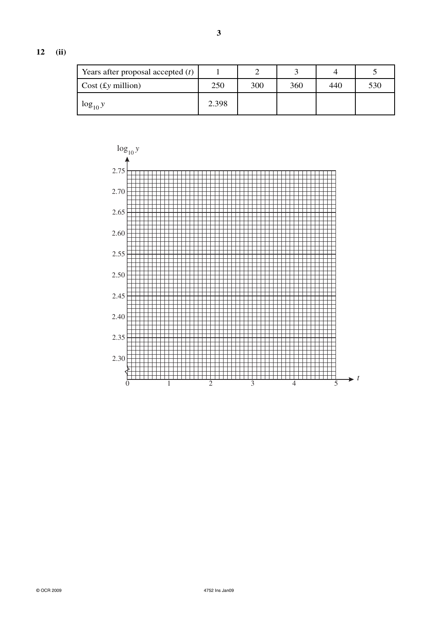**12 (ii)**

| Years after proposal accepted $(t)$ |       |     |     |     |     |
|-------------------------------------|-------|-----|-----|-----|-----|
| Cost (fy million)                   | 250   | 300 | 360 | 440 | 530 |
| $\log_{10} y$                       | 2.398 |     |     |     |     |